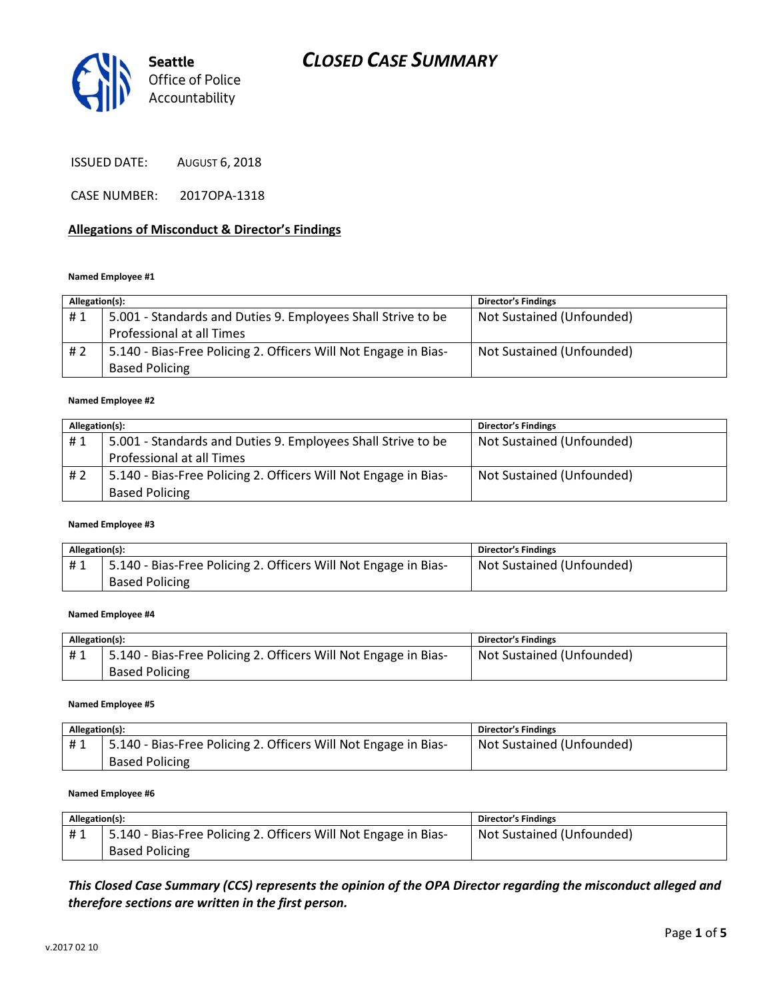



ISSUED DATE: AUGUST 6, 2018

CASE NUMBER: 2017OPA-1318

### Allegations of Misconduct & Director's Findings

### Named Employee #1

| Allegation(s): |                                                                 | <b>Director's Findings</b> |
|----------------|-----------------------------------------------------------------|----------------------------|
| #1             | 5.001 - Standards and Duties 9. Employees Shall Strive to be    | Not Sustained (Unfounded)  |
|                | Professional at all Times                                       |                            |
| # 2            | 5.140 - Bias-Free Policing 2. Officers Will Not Engage in Bias- | Not Sustained (Unfounded)  |
|                | <b>Based Policing</b>                                           |                            |

### Named Employee #2

| Allegation(s): |                                                                 | <b>Director's Findings</b> |
|----------------|-----------------------------------------------------------------|----------------------------|
| #1             | 5.001 - Standards and Duties 9. Employees Shall Strive to be    | Not Sustained (Unfounded)  |
|                | Professional at all Times                                       |                            |
| # 2            | 5.140 - Bias-Free Policing 2. Officers Will Not Engage in Bias- | Not Sustained (Unfounded)  |
|                | <b>Based Policing</b>                                           |                            |

#### Named Employee #3

| Allegation(s): |                                                                 | <b>Director's Findings</b> |
|----------------|-----------------------------------------------------------------|----------------------------|
| #1             | 5.140 - Bias-Free Policing 2. Officers Will Not Engage in Bias- | Not Sustained (Unfounded)  |
|                | <b>Based Policing</b>                                           |                            |

#### Named Employee #4

| Allegation(s): |                                                                 | <b>Director's Findings</b> |
|----------------|-----------------------------------------------------------------|----------------------------|
| #1             | 5.140 - Bias-Free Policing 2. Officers Will Not Engage in Bias- | Not Sustained (Unfounded)  |
|                | <b>Based Policing</b>                                           |                            |

#### Named Employee #5

| Allegation(s): |                                                                   | Director's Findings       |
|----------------|-------------------------------------------------------------------|---------------------------|
| #1             | 1 5.140 - Bias-Free Policing 2. Officers Will Not Engage in Bias- | Not Sustained (Unfounded) |
|                | <b>Based Policing</b>                                             |                           |

#### Named Employee #6

| Allegation(s): |                                                                 | <b>Director's Findings</b> |
|----------------|-----------------------------------------------------------------|----------------------------|
| #1             | 5.140 - Bias-Free Policing 2. Officers Will Not Engage in Bias- | Not Sustained (Unfounded)  |
|                | <b>Based Policing</b>                                           |                            |

This Closed Case Summary (CCS) represents the opinion of the OPA Director regarding the misconduct alleged and therefore sections are written in the first person.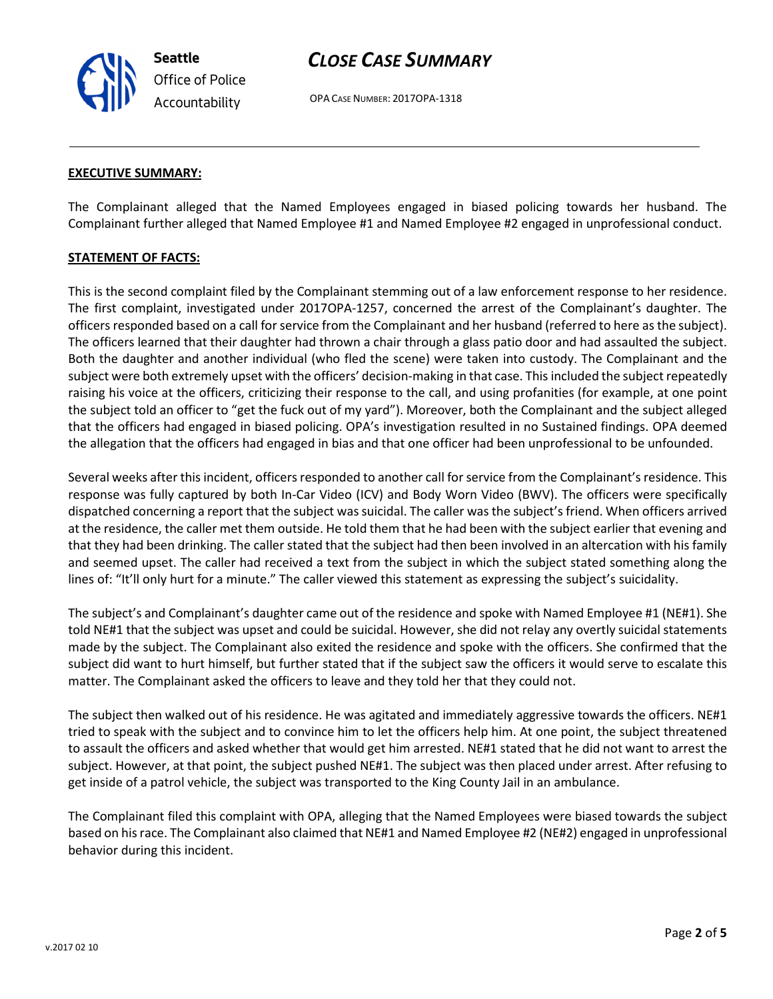# CLOSE CASE SUMMARY

OPA CASE NUMBER: 2017OPA-1318

### EXECUTIVE SUMMARY:

Seattle

Office of Police Accountability

The Complainant alleged that the Named Employees engaged in biased policing towards her husband. The Complainant further alleged that Named Employee #1 and Named Employee #2 engaged in unprofessional conduct.

### STATEMENT OF FACTS:

This is the second complaint filed by the Complainant stemming out of a law enforcement response to her residence. The first complaint, investigated under 2017OPA-1257, concerned the arrest of the Complainant's daughter. The officers responded based on a call for service from the Complainant and her husband (referred to here as the subject). The officers learned that their daughter had thrown a chair through a glass patio door and had assaulted the subject. Both the daughter and another individual (who fled the scene) were taken into custody. The Complainant and the subject were both extremely upset with the officers' decision-making in that case. This included the subject repeatedly raising his voice at the officers, criticizing their response to the call, and using profanities (for example, at one point the subject told an officer to "get the fuck out of my yard"). Moreover, both the Complainant and the subject alleged that the officers had engaged in biased policing. OPA's investigation resulted in no Sustained findings. OPA deemed the allegation that the officers had engaged in bias and that one officer had been unprofessional to be unfounded.

Several weeks after this incident, officers responded to another call for service from the Complainant's residence. This response was fully captured by both In-Car Video (ICV) and Body Worn Video (BWV). The officers were specifically dispatched concerning a report that the subject was suicidal. The caller was the subject's friend. When officers arrived at the residence, the caller met them outside. He told them that he had been with the subject earlier that evening and that they had been drinking. The caller stated that the subject had then been involved in an altercation with his family and seemed upset. The caller had received a text from the subject in which the subject stated something along the lines of: "It'll only hurt for a minute." The caller viewed this statement as expressing the subject's suicidality.

The subject's and Complainant's daughter came out of the residence and spoke with Named Employee #1 (NE#1). She told NE#1 that the subject was upset and could be suicidal. However, she did not relay any overtly suicidal statements made by the subject. The Complainant also exited the residence and spoke with the officers. She confirmed that the subject did want to hurt himself, but further stated that if the subject saw the officers it would serve to escalate this matter. The Complainant asked the officers to leave and they told her that they could not.

The subject then walked out of his residence. He was agitated and immediately aggressive towards the officers. NE#1 tried to speak with the subject and to convince him to let the officers help him. At one point, the subject threatened to assault the officers and asked whether that would get him arrested. NE#1 stated that he did not want to arrest the subject. However, at that point, the subject pushed NE#1. The subject was then placed under arrest. After refusing to get inside of a patrol vehicle, the subject was transported to the King County Jail in an ambulance.

The Complainant filed this complaint with OPA, alleging that the Named Employees were biased towards the subject based on his race. The Complainant also claimed that NE#1 and Named Employee #2 (NE#2) engaged in unprofessional behavior during this incident.

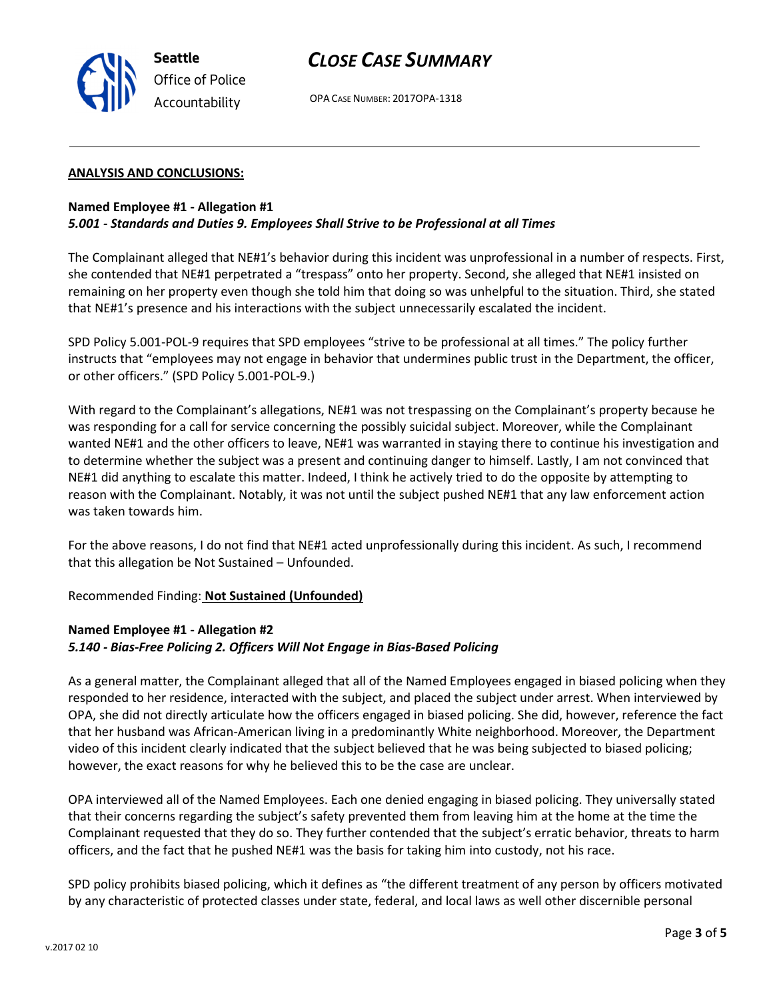

# CLOSE CASE SUMMARY

OPA CASE NUMBER: 2017OPA-1318

### ANALYSIS AND CONCLUSIONS:

# Named Employee #1 - Allegation #1 5.001 - Standards and Duties 9. Employees Shall Strive to be Professional at all Times

The Complainant alleged that NE#1's behavior during this incident was unprofessional in a number of respects. First, she contended that NE#1 perpetrated a "trespass" onto her property. Second, she alleged that NE#1 insisted on remaining on her property even though she told him that doing so was unhelpful to the situation. Third, she stated that NE#1's presence and his interactions with the subject unnecessarily escalated the incident.

SPD Policy 5.001-POL-9 requires that SPD employees "strive to be professional at all times." The policy further instructs that "employees may not engage in behavior that undermines public trust in the Department, the officer, or other officers." (SPD Policy 5.001-POL-9.)

With regard to the Complainant's allegations, NE#1 was not trespassing on the Complainant's property because he was responding for a call for service concerning the possibly suicidal subject. Moreover, while the Complainant wanted NE#1 and the other officers to leave, NE#1 was warranted in staying there to continue his investigation and to determine whether the subject was a present and continuing danger to himself. Lastly, I am not convinced that NE#1 did anything to escalate this matter. Indeed, I think he actively tried to do the opposite by attempting to reason with the Complainant. Notably, it was not until the subject pushed NE#1 that any law enforcement action was taken towards him.

For the above reasons, I do not find that NE#1 acted unprofessionally during this incident. As such, I recommend that this allegation be Not Sustained – Unfounded.

Recommended Finding: Not Sustained (Unfounded)

# Named Employee #1 - Allegation #2 5.140 - Bias-Free Policing 2. Officers Will Not Engage in Bias-Based Policing

As a general matter, the Complainant alleged that all of the Named Employees engaged in biased policing when they responded to her residence, interacted with the subject, and placed the subject under arrest. When interviewed by OPA, she did not directly articulate how the officers engaged in biased policing. She did, however, reference the fact that her husband was African-American living in a predominantly White neighborhood. Moreover, the Department video of this incident clearly indicated that the subject believed that he was being subjected to biased policing; however, the exact reasons for why he believed this to be the case are unclear.

OPA interviewed all of the Named Employees. Each one denied engaging in biased policing. They universally stated that their concerns regarding the subject's safety prevented them from leaving him at the home at the time the Complainant requested that they do so. They further contended that the subject's erratic behavior, threats to harm officers, and the fact that he pushed NE#1 was the basis for taking him into custody, not his race.

SPD policy prohibits biased policing, which it defines as "the different treatment of any person by officers motivated by any characteristic of protected classes under state, federal, and local laws as well other discernible personal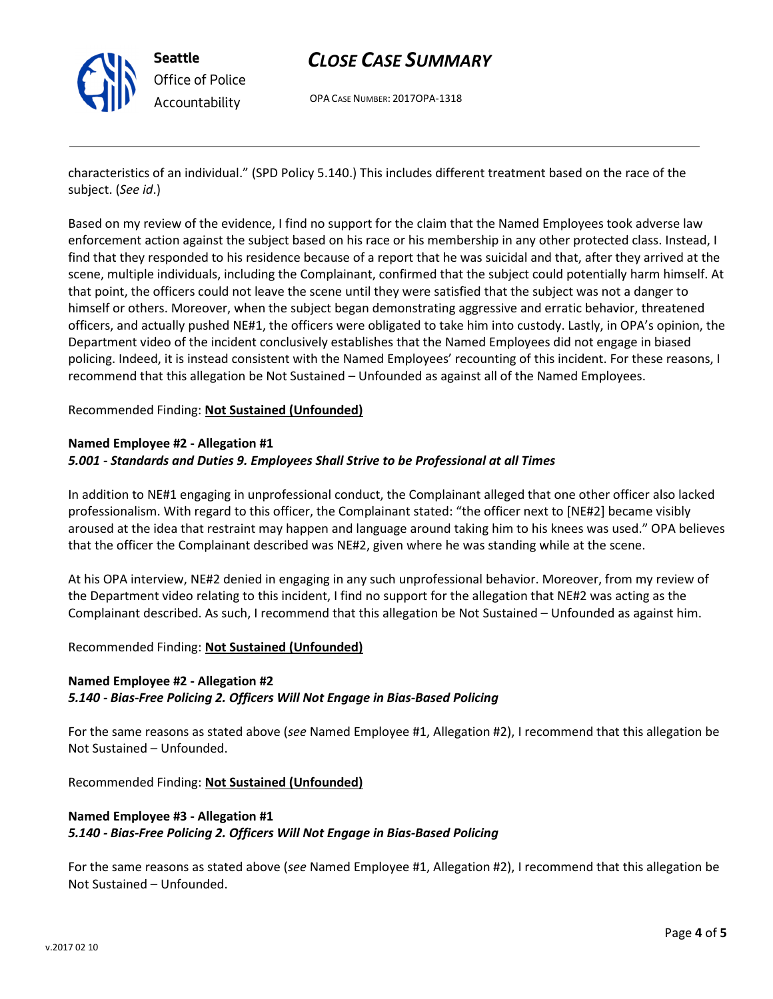

Seattle Office of Police Accountability

# CLOSE CASE SUMMARY

OPA CASE NUMBER: 2017OPA-1318

characteristics of an individual." (SPD Policy 5.140.) This includes different treatment based on the race of the subject. (See id.)

Based on my review of the evidence, I find no support for the claim that the Named Employees took adverse law enforcement action against the subject based on his race or his membership in any other protected class. Instead, I find that they responded to his residence because of a report that he was suicidal and that, after they arrived at the scene, multiple individuals, including the Complainant, confirmed that the subject could potentially harm himself. At that point, the officers could not leave the scene until they were satisfied that the subject was not a danger to himself or others. Moreover, when the subject began demonstrating aggressive and erratic behavior, threatened officers, and actually pushed NE#1, the officers were obligated to take him into custody. Lastly, in OPA's opinion, the Department video of the incident conclusively establishes that the Named Employees did not engage in biased policing. Indeed, it is instead consistent with the Named Employees' recounting of this incident. For these reasons, I recommend that this allegation be Not Sustained – Unfounded as against all of the Named Employees.

# Recommended Finding: Not Sustained (Unfounded)

## Named Employee #2 - Allegation #1

# 5.001 - Standards and Duties 9. Employees Shall Strive to be Professional at all Times

In addition to NE#1 engaging in unprofessional conduct, the Complainant alleged that one other officer also lacked professionalism. With regard to this officer, the Complainant stated: "the officer next to [NE#2] became visibly aroused at the idea that restraint may happen and language around taking him to his knees was used." OPA believes that the officer the Complainant described was NE#2, given where he was standing while at the scene.

At his OPA interview, NE#2 denied in engaging in any such unprofessional behavior. Moreover, from my review of the Department video relating to this incident, I find no support for the allegation that NE#2 was acting as the Complainant described. As such, I recommend that this allegation be Not Sustained – Unfounded as against him.

## Recommended Finding: Not Sustained (Unfounded)

# Named Employee #2 - Allegation #2 5.140 - Bias-Free Policing 2. Officers Will Not Engage in Bias-Based Policing

For the same reasons as stated above (see Named Employee #1, Allegation #2), I recommend that this allegation be Not Sustained – Unfounded.

Recommended Finding: Not Sustained (Unfounded)

## Named Employee #3 - Allegation #1 5.140 - Bias-Free Policing 2. Officers Will Not Engage in Bias-Based Policing

For the same reasons as stated above (see Named Employee #1, Allegation #2), I recommend that this allegation be Not Sustained – Unfounded.